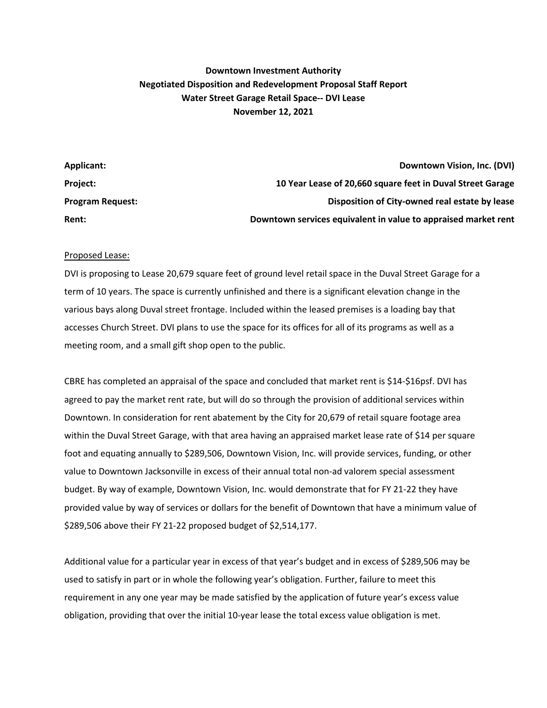## **Downtown Investment Authority Negotiated Disposition and Redevelopment Proposal Staff Report Water Street Garage Retail Space-- DVI Lease November 12, 2021**

| Applicant:              | Downtown Vision, Inc. (DVI)                                    |
|-------------------------|----------------------------------------------------------------|
| <b>Project:</b>         | 10 Year Lease of 20,660 square feet in Duval Street Garage     |
| <b>Program Request:</b> | Disposition of City-owned real estate by lease                 |
| Rent:                   | Downtown services equivalent in value to appraised market rent |

## Proposed Lease:

DVI is proposing to Lease 20,679 square feet of ground level retail space in the Duval Street Garage for a term of 10 years. The space is currently unfinished and there is a significant elevation change in the various bays along Duval street frontage. Included within the leased premises is a loading bay that accesses Church Street. DVI plans to use the space for its offices for all of its programs as well as a meeting room, and a small gift shop open to the public.

CBRE has completed an appraisal of the space and concluded that market rent is \$14-\$16psf. DVI has agreed to pay the market rent rate, but will do so through the provision of additional services within Downtown. In consideration for rent abatement by the City for 20,679 of retail square footage area within the Duval Street Garage, with that area having an appraised market lease rate of \$14 per square foot and equating annually to \$289,506, Downtown Vision, Inc. will provide services, funding, or other value to Downtown Jacksonville in excess of their annual total non-ad valorem special assessment budget. By way of example, Downtown Vision, Inc. would demonstrate that for FY 21-22 they have provided value by way of services or dollars for the benefit of Downtown that have a minimum value of \$289,506 above their FY 21-22 proposed budget of \$2,514,177.

Additional value for a particular year in excess of that year's budget and in excess of \$289,506 may be used to satisfy in part or in whole the following year's obligation. Further, failure to meet this requirement in any one year may be made satisfied by the application of future year's excess value obligation, providing that over the initial 10-year lease the total excess value obligation is met.